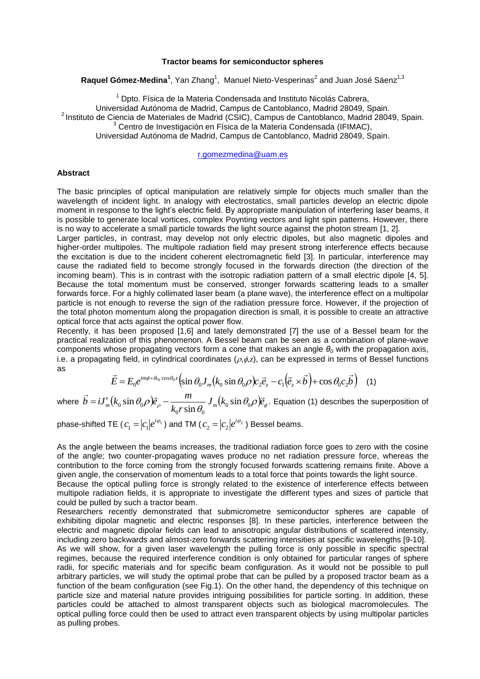## **Tractor beams for semiconductor spheres**

Raquel Gómez-Medina<sup>1</sup>, Yan Zhang<sup>1</sup>, Manuel Nieto-Vesperinas<sup>2</sup> and Juan José Sáenz<sup>1,3</sup>

 $1$  Dpto. Física de la Materia Condensada and Instituto Nicolás Cabrera. Universidad Autónoma de Madrid, Campus de Cantoblanco, Madrid 28049, Spain. <sup>2</sup> Instituto de Ciencia de Materiales de Madrid (CSIC), Campus de Cantoblanco, Madrid 28049, Spain.  $3$  Centro de Investigación en Física de la Materia Condensada (IFIMAC), Universidad Autónoma de Madrid, Campus de Cantoblanco, Madrid 28049, Spain.

[r.gomezmedina@uam.es](mailto:r.gomezmedina@uam.es)

## **Abstract**

The basic principles of optical manipulation are relatively simple for objects much smaller than the wavelength of incident light. In analogy with electrostatics, small particles develop an electric dipole moment in response to the light's electric field. By appropriate manipulation of interfering laser beams, it is possible to generate local vortices, complex Poynting vectors and light spin patterns. However, there is no way to accelerate a small particle towards the light source against the photon stream [1, 2].

Larger particles, in contrast, may develop not only electric dipoles, but also magnetic dipoles and higher-order multipoles. The multipole radiation field may present strong interference effects because the excitation is due to the incident coherent electromagnetic field [3]. In particular, interference may cause the radiated field to become strongly focused in the forwards direction (the direction of the incoming beam). This is in contrast with the isotropic radiation pattern of a small electric dipole [4, 5]. Because the total momentum must be conserved, stronger forwards scattering leads to a smaller forwards force. For a highly collimated laser beam (a plane wave), the interference effect on a multipolar particle is not enough to reverse the sign of the radiation pressure force. However, if the projection of the total photon momentum along the propagation direction is small, it is possible to create an attractive optical force that acts against the optical power flow.

Recently, it has been proposed [1,6] and lately demonstrated [7] the use of a Bessel beam for the practical realization of this phenomenon. A Bessel beam can be seen as a combination of plane-wave components whose propagating vectors form a cone that makes an angle  $\theta$ <sup>0</sup> with the propagation axis, i.e. a propagating field, in cylindrical coordinates  $(\rho, \phi, z)$ , can be expressed in terms of Bessel functions as  $\rightarrow$   $\rightarrow$ 

$$
\vec{E} = E_0 e^{im\phi + ik_0 \cos \theta_0 z} \left( \sin \theta_0 J_m(k_0 \sin \theta_0 \rho) c_2 \vec{e}_z - c_1 (\vec{e}_z \times \vec{b}) + \cos \theta_0 c_2 \vec{b} \right)
$$
 (1)

where  $b=iJ_m'(k_0\sin\theta_0\mathcal{O})\vec{e}_{\rho}-\frac{m}{k_o r\sin\theta_o}J_m(k_0\sin\theta_0\mathcal{O})\vec{e}_{\phi}$  $k_0 r$  $\vec{b} = iJ'_m(k_0 \sin \theta_0 \rho)\vec{e}_{\rho} - \frac{m}{l}J_m(k_0 \sin \theta_0 \rho)\vec{e}_{\rho}$  $_{0}$  sin  $v_{0}$  $_{0}$ , sin  $v_{0}$  $J_{0}$  sin  $\theta_{0}\rho\overline{\varepsilon}_{\rho}$  -  $\frac{m}{I_{0}+\sin\theta}$   $J_{m}(k_{0}$  sin sin  $\vec{v} = i J'_m(k_0 \sin \theta_0 \rho) \vec{e}_o - \frac{m}{m} J_m(k_0 \sin \theta_0 \rho) \vec{e}_o$ . Equation (1) describes the superposition of

phase-shifted TE (  $c_{\text{\tiny{l}}} = \left | c_{\text{\tiny{l}}} \right | e^{\iota \varphi_{\text{\tiny{l}}}}$  $c_1 = |c_1|e^{i\varphi_1}$  ) and TM (  $c_2 = |c_2|e^{i\varphi_2}$  $c_2 = |c_2|e^{i\varphi_2}$  ) Bessel beams.

As the angle between the beams increases, the traditional radiation force goes to zero with the cosine of the angle; two counter-propagating waves produce no net radiation pressure force, whereas the contribution to the force coming from the strongly focused forwards scattering remains finite. Above a given angle, the conservation of momentum leads to a total force that points towards the light source.

Because the optical pulling force is strongly related to the existence of interference effects between multipole radiation fields, it is appropriate to investigate the different types and sizes of particle that could be pulled by such a tractor beam.

Researchers recently demonstrated that submicrometre semiconductor spheres are capable of exhibiting dipolar magnetic and electric responses [8]. In these particles, interference between the electric and magnetic dipolar fields can lead to anisotropic angular distributions of scattered intensity, including zero backwards and almost-zero forwards scattering intensities at specific wavelengths [9-10].

As we will show, for a given laser wavelength the pulling force is only possible in specific spectral regimes, because the required interference condition is only obtained for particular ranges of sphere radii, for specific materials and for specific beam configuration. As it would not be possible to pull arbitrary particles, we will study the optimal probe that can be pulled by a proposed tractor beam as a function of the beam configuration (see Fig.1). On the other hand, the dependency of this technique on particle size and material nature provides intriguing possibilities for particle sorting. In addition, these particles could be attached to almost transparent objects such as biological macromolecules. The optical pulling force could then be used to attract even transparent objects by using multipolar particles as pulling probes.